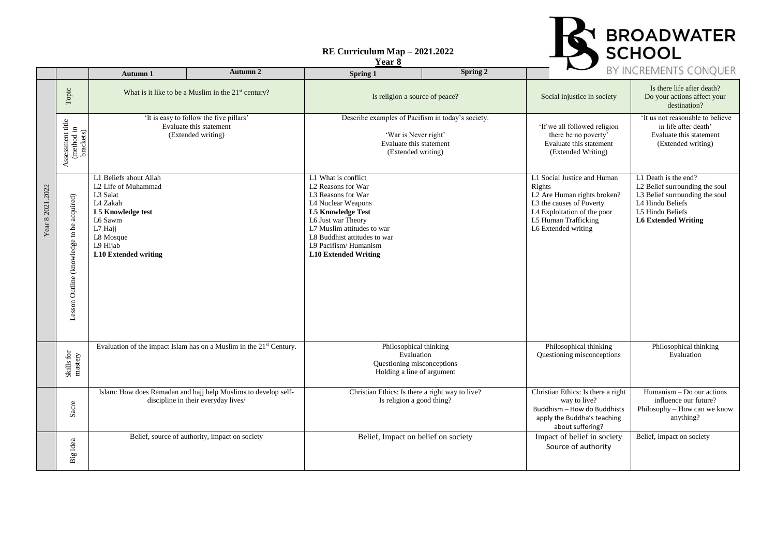#### **RE Curriculum Map – 2021.2022**





|                  |                                             | Autumn 1                                                                                                                                                                 | Autumn 2                                                                                              | Spring 1                                                                                                                                                                                                                                                     | Spring 2 |                                                                                                                                                                                | <b>BY INCREIVIENTS CONQUER</b>                                                                                                                                 |
|------------------|---------------------------------------------|--------------------------------------------------------------------------------------------------------------------------------------------------------------------------|-------------------------------------------------------------------------------------------------------|--------------------------------------------------------------------------------------------------------------------------------------------------------------------------------------------------------------------------------------------------------------|----------|--------------------------------------------------------------------------------------------------------------------------------------------------------------------------------|----------------------------------------------------------------------------------------------------------------------------------------------------------------|
|                  | $\operatorname{\mathsf{Topic}}$             | What is it like to be a Muslim in the 21 <sup>st</sup> century?                                                                                                          |                                                                                                       | Is religion a source of peace?                                                                                                                                                                                                                               |          | Social injustice in society                                                                                                                                                    | Is there life after death?<br>Do your actions affect your<br>destination?                                                                                      |
|                  | Assessment title<br>(method in<br>brackets) | 'It is easy to follow the five pillars'<br>Evaluate this statement<br>(Extended writing)                                                                                 |                                                                                                       | Describe examples of Pacifism in today's society.<br>'War is Never right'<br>Evaluate this statement<br>(Extended writing)                                                                                                                                   |          | 'If we all followed religion<br>there be no poverty'<br>Evaluate this statement<br>(Extended Writing)                                                                          | 'It us not reasonable to believe<br>in life after death'<br>Evaluate this statement<br>(Extended writing)                                                      |
| Year 8 2021.2022 | Lesson Outline (knowledge to be acquired)   | L1 Beliefs about Allah<br>L2 Life of Muhammad<br>L3 Salat<br>L4 Zakah<br>L5 Knowledge test<br>L6 Sawm<br>L7 Hajj<br>L8 Mosque<br>L9 Hijab<br><b>L10</b> Extended writing |                                                                                                       | L1 What is conflict<br>L2 Reasons for War<br>L3 Reasons for War<br>L4 Nuclear Weapons<br><b>L5 Knowledge Test</b><br>L6 Just war Theory<br>L7 Muslim attitudes to war<br>L8 Buddhist attitudes to war<br>L9 Pacifism/Humanism<br><b>L10 Extended Writing</b> |          | L1 Social Justice and Human<br>Rights<br>L2 Are Human rights broken?<br>L3 the causes of Poverty<br>L4 Exploitation of the poor<br>L5 Human Trafficking<br>L6 Extended writing | L1 Death is the end?<br>L2 Belief surrounding the soul<br>L3 Belief surrounding the soul<br>L4 Hindu Beliefs<br>L5 Hindu Beliefs<br><b>L6 Extended Writing</b> |
|                  | Skills for<br>mastery                       |                                                                                                                                                                          | Evaluation of the impact Islam has on a Muslim in the 21 <sup>st</sup> Century.                       | Philosophical thinking<br>Evaluation<br>Questioning misconceptions<br>Holding a line of argument                                                                                                                                                             |          | Philosophical thinking<br>Questioning misconceptions                                                                                                                           | Philosophical thinking<br>Evaluation                                                                                                                           |
|                  | Sacre                                       |                                                                                                                                                                          | Islam: How does Ramadan and hajj help Muslims to develop self-<br>discipline in their everyday lives/ | Christian Ethics: Is there a right way to live?<br>Is religion a good thing?                                                                                                                                                                                 |          | Christian Ethics: Is there a right<br>way to live?<br>Buddhism - How do Buddhists<br>apply the Buddha's teaching<br>about suffering?                                           | Humanism - Do our actions<br>influence our future?<br>Philosophy - How can we know<br>anything?                                                                |
|                  | Big Idea                                    |                                                                                                                                                                          | Belief, source of authority, impact on society                                                        | Belief, Impact on belief on society                                                                                                                                                                                                                          |          | Impact of belief in society<br>Source of authority                                                                                                                             | Belief, impact on society                                                                                                                                      |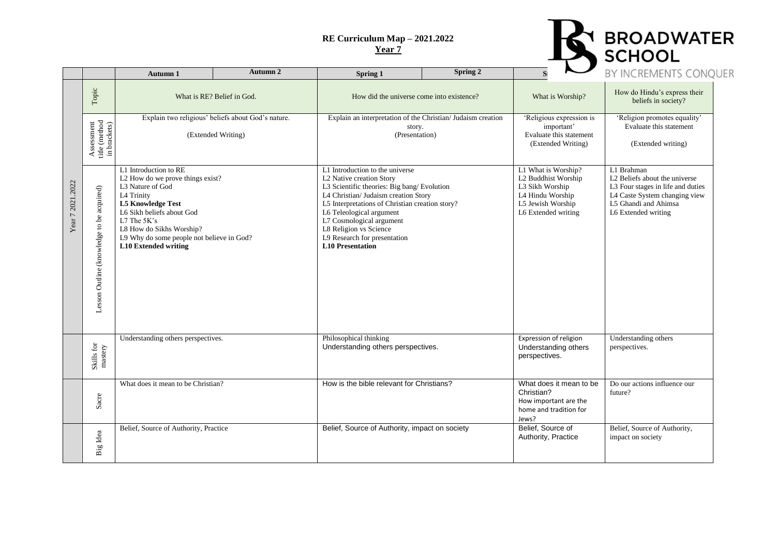

|                  |                                                                                          | Autumn 1                                                                                                                                                                                                                                                                    | Autumn 2 | Spring 1                                                                                                                                                                                                                                                                                                                                          | Spring 2 |                                                                                                                               | BY INCREMENTS CONQ                                                                                                                                                           |
|------------------|------------------------------------------------------------------------------------------|-----------------------------------------------------------------------------------------------------------------------------------------------------------------------------------------------------------------------------------------------------------------------------|----------|---------------------------------------------------------------------------------------------------------------------------------------------------------------------------------------------------------------------------------------------------------------------------------------------------------------------------------------------------|----------|-------------------------------------------------------------------------------------------------------------------------------|------------------------------------------------------------------------------------------------------------------------------------------------------------------------------|
|                  | Topic                                                                                    | What is RE? Belief in God.                                                                                                                                                                                                                                                  |          | How did the universe come into existence?                                                                                                                                                                                                                                                                                                         |          | What is Worship?                                                                                                              | How do Hindu's express their<br>beliefs in society?                                                                                                                          |
|                  | $\begin{array}{l} \mbox{title (method} \\ \mbox{in brackets)} \end{array}$<br>Assessment | Explain two religious' beliefs about God's nature.<br>(Extended Writing)                                                                                                                                                                                                    |          | Explain an interpretation of the Christian/ Judaism creation<br>story.<br>(Presentation)                                                                                                                                                                                                                                                          |          | Religious expression is<br>important'<br>Evaluate this statement<br>(Extended Writing)                                        | 'Religion promotes equality'<br>Evaluate this statement<br>(Extended writing)                                                                                                |
| Year 7 2021.2022 | Lesson Outline (knowledge to be acquired)                                                | L1 Introduction to RE<br>L2 How do we prove things exist?<br>L3 Nature of God<br>L4 Trinity<br><b>L5 Knowledge Test</b><br>L6 Sikh beliefs about God<br>L7 The 5K's<br>L8 How do Sikhs Worship?<br>L9 Why do some people not believe in God?<br><b>L10</b> Extended writing |          | L1 Introduction to the universe<br>L2 Native creation Story<br>L3 Scientific theories: Big bang/Evolution<br>L4 Christian/ Judaism creation Story<br>L5 Interpretations of Christian creation story?<br>L6 Teleological argument<br>L7 Cosmological argument<br>L8 Religion vs Science<br>L9 Research for presentation<br><b>L10 Presentation</b> |          | L1 What is Worship?<br>L2 Buddhist Worship<br>L3 Sikh Worship<br>L4 Hindu Worship<br>L5 Jewish Worship<br>L6 Extended writing | L1 Brahman<br>L <sub>2</sub> Beliefs about the universe<br>L3 Four stages in life and duties<br>L4 Caste System changing view<br>L5 Ghandi and Ahimsa<br>L6 Extended writing |
|                  | Skills for<br>mastery                                                                    | Understanding others perspectives.                                                                                                                                                                                                                                          |          | Philosophical thinking<br>Understanding others perspectives.                                                                                                                                                                                                                                                                                      |          | Expression of religion<br>Understanding others<br>perspectives.                                                               | Understanding others<br>perspectives.                                                                                                                                        |
|                  | Sacre                                                                                    | What does it mean to be Christian?                                                                                                                                                                                                                                          |          | How is the bible relevant for Christians?                                                                                                                                                                                                                                                                                                         |          | What does it mean to be<br>Christian?<br>How important are the<br>home and tradition for<br>Jews?                             | Do our actions influence our<br>future?                                                                                                                                      |
|                  | Big Idea                                                                                 | Belief, Source of Authority, Practice                                                                                                                                                                                                                                       |          | Belief, Source of Authority, impact on society                                                                                                                                                                                                                                                                                                    |          | Belief, Source of<br>Authority, Practice                                                                                      | Belief, Source of Authority,<br>impact on society                                                                                                                            |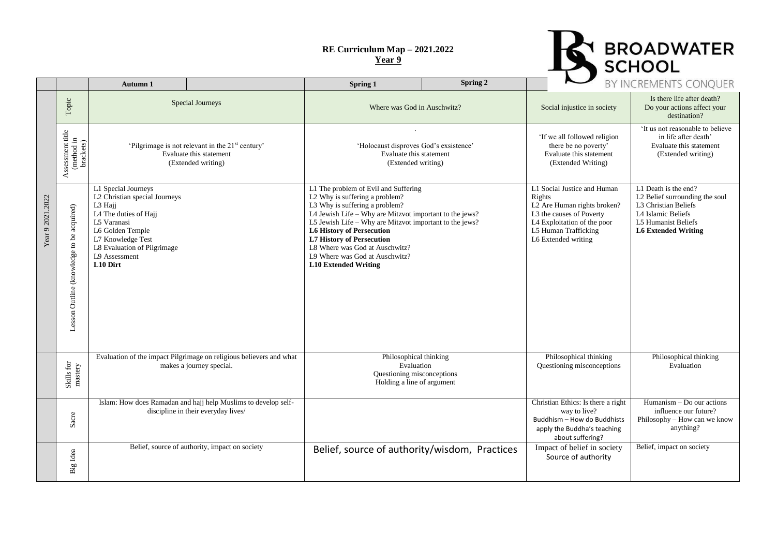

|                  |                                                                                                   | Autumn 1                                                                                                                                                                                                     |  | Spring 1                                                                                                                                                                                                                                                                                                                                                                                                  | Spring 2                                      |                                                                                                                                                                                | BY INCREMENTS CONQUER                                                                                                                                     |
|------------------|---------------------------------------------------------------------------------------------------|--------------------------------------------------------------------------------------------------------------------------------------------------------------------------------------------------------------|--|-----------------------------------------------------------------------------------------------------------------------------------------------------------------------------------------------------------------------------------------------------------------------------------------------------------------------------------------------------------------------------------------------------------|-----------------------------------------------|--------------------------------------------------------------------------------------------------------------------------------------------------------------------------------|-----------------------------------------------------------------------------------------------------------------------------------------------------------|
|                  | $\operatorname{\mathsf{Topic}}$                                                                   | <b>Special Journeys</b>                                                                                                                                                                                      |  | Where was God in Auschwitz?                                                                                                                                                                                                                                                                                                                                                                               |                                               | Social injustice in society                                                                                                                                                    | Is there life after death?<br>Do your actions affect your<br>destination?                                                                                 |
| Year 9 2021.2022 | Assessment title<br>(method in<br>brackets)                                                       | 'Pilgrimage is not relevant in the 21 <sup>st</sup> century'<br>Evaluate this statement<br>(Extended writing)                                                                                                |  | 'Holocaust disproves God's exsistence'<br>Evaluate this statement<br>(Extended writing)                                                                                                                                                                                                                                                                                                                   |                                               | 'If we all followed religion<br>there be no poverty'<br>Evaluate this statement<br>(Extended Writing)                                                                          | 'It us not reasonable to believe<br>in life after death'<br>Evaluate this statement<br>(Extended writing)                                                 |
|                  | Lesson Outline (knowledge to be acquired)                                                         | L1 Special Journeys<br>L2 Christian special Journeys<br>L3 Hajj<br>L4 The duties of Hajj<br>L5 Varanasi<br>L6 Golden Temple<br>L7 Knowledge Test<br>L8 Evaluation of Pilgrimage<br>L9 Assessment<br>L10 Dirt |  | L1 The problem of Evil and Suffering<br>L2 Why is suffering a problem?<br>L3 Why is suffering a problem?<br>L4 Jewish Life - Why are Mitzvot important to the jews?<br>L5 Jewish Life - Why are Mitzvot important to the jews?<br><b>L6 History of Persecution</b><br><b>L7 History of Persecution</b><br>L8 Where was God at Auschwitz?<br>L9 Where was God at Auschwitz?<br><b>L10 Extended Writing</b> |                                               | L1 Social Justice and Human<br>Rights<br>L2 Are Human rights broken?<br>L3 the causes of Poverty<br>L4 Exploitation of the poor<br>L5 Human Trafficking<br>L6 Extended writing | L1 Death is the end?<br>L2 Belief surrounding the soul<br>L3 Christian Beliefs<br>L4 Islamic Beliefs<br>L5 Humanist Beliefs<br><b>L6 Extended Writing</b> |
|                  | $\begin{array}{c} \mbox{S}{\bf k}{\bf i}{\bf l}\mbox{s}\; {\bf for}\\ \mbox{mastery} \end{array}$ | Evaluation of the impact Pilgrimage on religious believers and what<br>makes a journey special.                                                                                                              |  | Philosophical thinking<br>Evaluation<br>Questioning misconceptions<br>Holding a line of argument                                                                                                                                                                                                                                                                                                          |                                               | Philosophical thinking<br>Questioning misconceptions                                                                                                                           | Philosophical thinking<br>Evaluation                                                                                                                      |
|                  | Sacre                                                                                             | Islam: How does Ramadan and hajj help Muslims to develop self-<br>discipline in their everyday lives/                                                                                                        |  |                                                                                                                                                                                                                                                                                                                                                                                                           |                                               | Christian Ethics: Is there a right<br>way to live?<br>Buddhism - How do Buddhists<br>apply the Buddha's teaching<br>about suffering?                                           | Humanism - Do our actions<br>influence our future?<br>Philosophy - How can we know<br>anything?                                                           |
|                  | Big Idea                                                                                          | Belief, source of authority, impact on society                                                                                                                                                               |  |                                                                                                                                                                                                                                                                                                                                                                                                           | Belief, source of authority/wisdom, Practices | Impact of belief in society<br>Source of authority                                                                                                                             | Belief, impact on society                                                                                                                                 |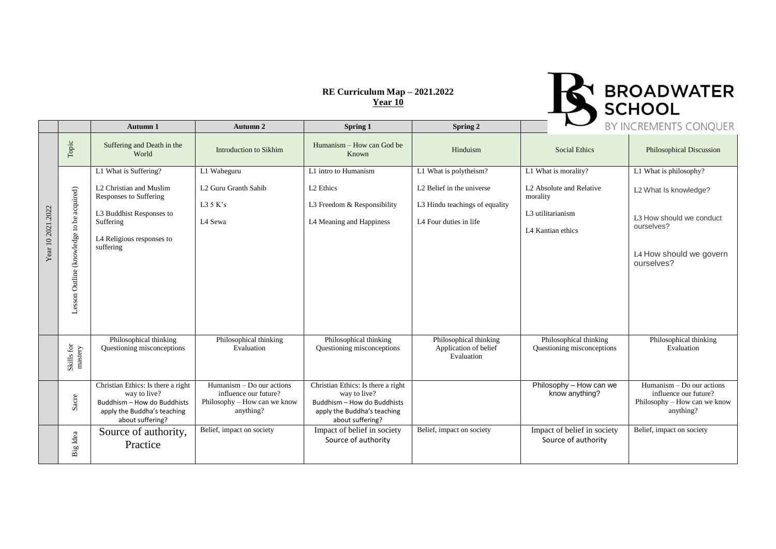

|                   |                                           | <b>Autumn 1</b>                                                                                                                             | Autumn 2                                                                                          | <b>Spring 1</b>                                                                                                                      | Spring 2                                                                                          | $\tilde{\phantom{a}}$                                                                      | BY INCREMENTS CONQUER                                                                                                |
|-------------------|-------------------------------------------|---------------------------------------------------------------------------------------------------------------------------------------------|---------------------------------------------------------------------------------------------------|--------------------------------------------------------------------------------------------------------------------------------------|---------------------------------------------------------------------------------------------------|--------------------------------------------------------------------------------------------|----------------------------------------------------------------------------------------------------------------------|
|                   | $\operatorname{\mathsf{Topic}}$           | Suffering and Death in the<br>World                                                                                                         | <b>Introduction to Sikhim</b>                                                                     | Humanism – How can God be<br>Known                                                                                                   | Hinduism                                                                                          | <b>Social Ethics</b>                                                                       | <b>Philosophical Discussion</b>                                                                                      |
|                   |                                           | L1 What is Suffering?                                                                                                                       | L1 Waheguru                                                                                       | L1 intro to Humanism                                                                                                                 | L1 What is polytheism?                                                                            | L1 What is morality?                                                                       | L1 What is philosophy?                                                                                               |
| Year 10 2021.2022 | Lesson Outline (knowledge to be acquired) | L2 Christian and Muslim<br><b>Responses to Suffering</b><br>L3 Buddhist Responses to<br>Suffering<br>L4 Religious responses to<br>suffering | L2 Guru Granth Sahib<br>L35K's<br>L4 Sewa                                                         | L <sub>2</sub> Ethics<br>L3 Freedom & Responsibility<br>L4 Meaning and Happiness                                                     | L <sub>2</sub> Belief in the universe<br>L3 Hindu teachings of equality<br>L4 Four duties in life | L <sub>2</sub> Absolute and Relative<br>morality<br>L3 utilitarianism<br>L4 Kantian ethics | L2 What Is knowledge?<br>L <sub>3</sub> How should we conduct<br>ourselves?<br>L4 How should we govern<br>ourselves? |
|                   | Skills for<br>mastery                     | Philosophical thinking<br>Questioning misconceptions                                                                                        | Philosophical thinking<br>Evaluation                                                              | Philosophical thinking<br>Questioning misconceptions                                                                                 | Philosophical thinking<br>Application of belief<br>Evaluation                                     | Philosophical thinking<br>Questioning misconceptions                                       | Philosophical thinking<br>Evaluation                                                                                 |
|                   | Sacre                                     | Christian Ethics: Is there a right<br>way to live?<br>Buddhism - How do Buddhists<br>apply the Buddha's teaching<br>about suffering?        | $Humanism - Do$ our actions<br>influence our future?<br>Philosophy - How can we know<br>anything? | Christian Ethics: Is there a right<br>way to live?<br>Buddhism - How do Buddhists<br>apply the Buddha's teaching<br>about suffering? |                                                                                                   | Philosophy - How can we<br>know anything?                                                  | Humanism – Do our actions<br>influence our future?<br>Philosophy - How can we know<br>anything?                      |
|                   | Big Idea                                  | Source of authority,<br>Practice                                                                                                            | Belief, impact on society                                                                         | Impact of belief in society<br>Source of authority                                                                                   | Belief, impact on society                                                                         | Impact of belief in society<br>Source of authority                                         | Belief, impact on society                                                                                            |